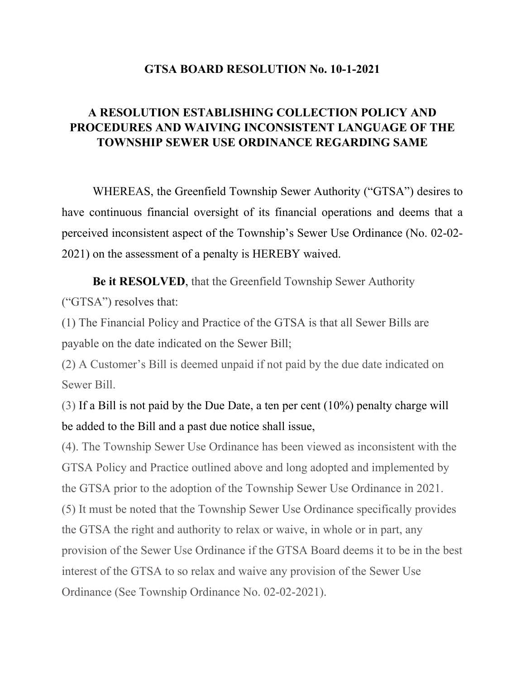## **GTSA BOARD RESOLUTION No. 10-1-2021**

## **A RESOLUTION ESTABLISHING COLLECTION POLICY AND PROCEDURES AND WAIVING INCONSISTENT LANGUAGE OF THE TOWNSHIP SEWER USE ORDINANCE REGARDING SAME**

WHEREAS, the Greenfield Township Sewer Authority ("GTSA") desires to have continuous financial oversight of its financial operations and deems that a perceived inconsistent aspect of the Township's Sewer Use Ordinance (No. 02-02- 2021) on the assessment of a penalty is HEREBY waived.

**Be it RESOLVED**, that the Greenfield Township Sewer Authority ("GTSA") resolves that:

(1) The Financial Policy and Practice of the GTSA is that all Sewer Bills are payable on the date indicated on the Sewer Bill;

(2) A Customer's Bill is deemed unpaid if not paid by the due date indicated on Sewer Bill.

(3) If a Bill is not paid by the Due Date, a ten per cent (10%) penalty charge will be added to the Bill and a past due notice shall issue,

(4). The Township Sewer Use Ordinance has been viewed as inconsistent with the GTSA Policy and Practice outlined above and long adopted and implemented by the GTSA prior to the adoption of the Township Sewer Use Ordinance in 2021. (5) It must be noted that the Township Sewer Use Ordinance specifically provides the GTSA the right and authority to relax or waive, in whole or in part, any provision of the Sewer Use Ordinance if the GTSA Board deems it to be in the best interest of the GTSA to so relax and waive any provision of the Sewer Use Ordinance (See Township Ordinance No. 02-02-2021).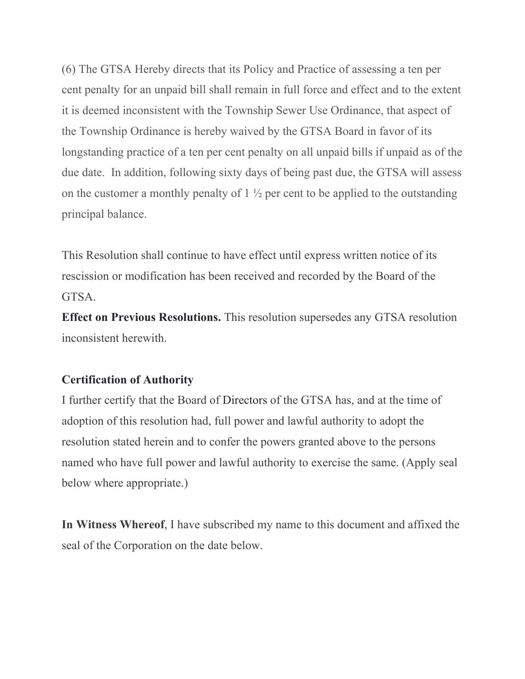(6) The GTSA Hereby directs that its Policy and Practice of assessing a ten per cent penalty for an unpaid bill shall remain in full force and effect and to the extent it is deemed inconsistent with the Township Sewer Use Ordinance, that aspect of the Township Ordinance is hereby waived by the GTSA Board in favor of its longstanding practice of a ten per cent penalty on all unpaid bills if unpaid as of the due date. In addition, following sixty days of being past due, the GTSA will assess on the customer a monthly penalty of  $1\frac{1}{2}$  per cent to be applied to the outstanding principal balance.

This Resolution shall continue to have effect until express written notice of its rescission or modification has been received and recorded by the Board of the GTSA.

**Effect on Previous Resolutions.** This resolution supersedes any GTSA resolution inconsistent herewith.

## **Certification of Authority**

I further certify that the Board of Directors of the GTSA has, and at the time of adoption of this resolution had, full power and lawful authority to adopt the resolution stated herein and to confer the powers granted above to the persons named who have full power and lawful authority to exercise the same. (Apply seal below where appropriate.)

**In Witness Whereof**, I have subscribed my name to this document and affixed the seal of the Corporation on the date below.